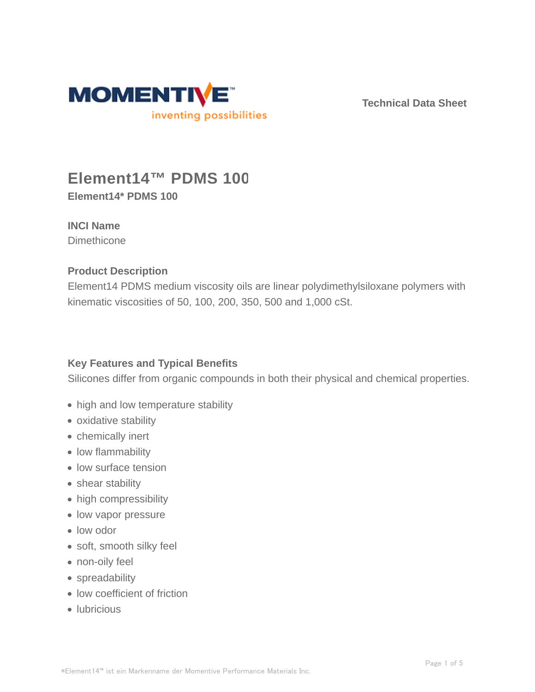

**Technical Data Sheet**

# **Element14™ PDMS 100**

**Element14\* PDMS 100**

## **INCI Name**

**Dimethicone** 

## **Product Description**

Element14 PDMS medium viscosity oils are linear polydimethylsiloxane polymers with kinematic viscosities of 50, 100, 200, 350, 500 and 1,000 cSt.

## **Key Features and Typical Benefits**

Silicones differ from organic compounds in both their physical and chemical properties.

- high and low temperature stability
- oxidative stability
- chemically inert
- low flammability
- low surface tension
- shear stability
- high compressibility
- low vapor pressure
- low odor
- soft, smooth silky feel
- non-oily feel
- spreadability
- low coefficient of friction
- lubricious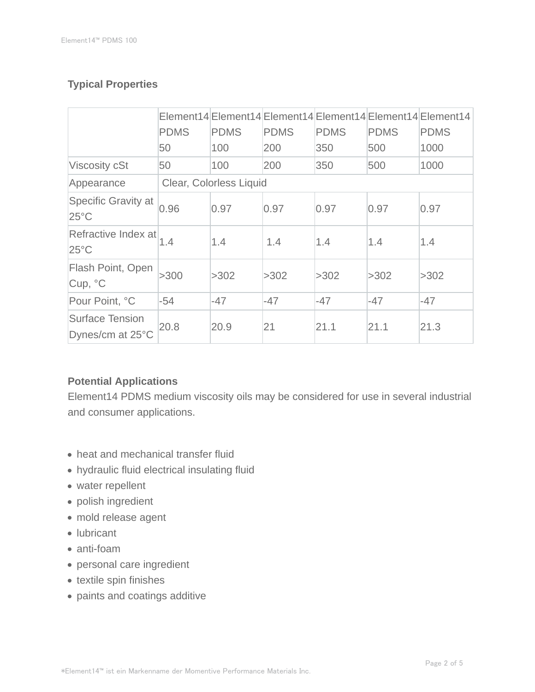## **Typical Properties**

|                                            | <b>PDMS</b>             | <b>PDMS</b> | <b>PDMS</b> | <b>PDMS</b> | <b>PDMS</b> | Element14 Element14 Element14 Element14 Element14 Element14<br><b>PDMS</b> |
|--------------------------------------------|-------------------------|-------------|-------------|-------------|-------------|----------------------------------------------------------------------------|
|                                            | 50                      | 100         | 200         | 350         | 500         | 1000                                                                       |
| <b>Viscosity cSt</b>                       | 50                      | 100         | 200         | 350         | 500         | 1000                                                                       |
| Appearance                                 | Clear, Colorless Liquid |             |             |             |             |                                                                            |
| Specific Gravity at<br>$25^{\circ}$ C      | 0.96                    | 0.97        | 0.97        | 0.97        | 0.97        | 0.97                                                                       |
| Refractive Index at<br>$25^{\circ}$ C      | 1.4                     | 1.4         | 1.4         | 1.4         | 1.4         | 1.4                                                                        |
| Flash Point, Open<br>Cup, °C               | >300                    | >302        | >302        | >302        | >302        | >302                                                                       |
| Pour Point, °C                             | $-54$                   | $-47$       | $-47$       | -47         | $-47$       | $-47$                                                                      |
| <b>Surface Tension</b><br>Dynes/cm at 25°C | 20.8                    | 20.9        | 21          | 21.1        | 21.1        | 21.3                                                                       |

### **Potential Applications**

Element14 PDMS medium viscosity oils may be considered for use in several industrial and consumer applications.

- heat and mechanical transfer fluid
- hydraulic fluid electrical insulating fluid
- water repellent
- polish ingredient
- mold release agent
- lubricant
- anti-foam
- personal care ingredient
- textile spin finishes
- paints and coatings additive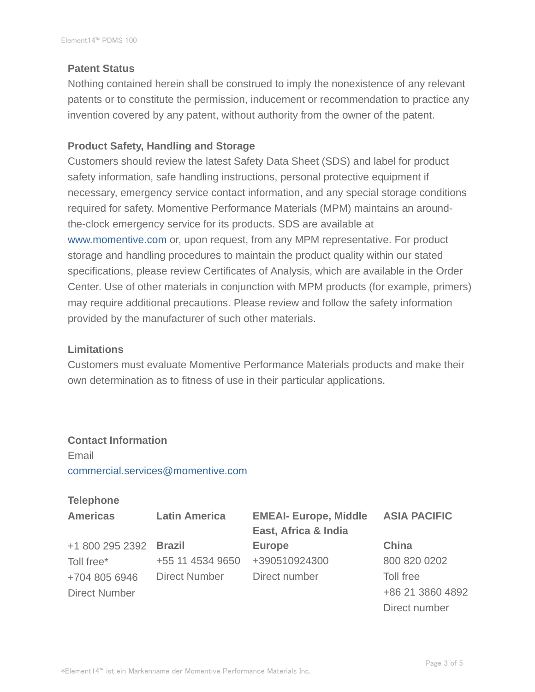#### **Patent Status**

Nothing contained herein shall be construed to imply the nonexistence of any relevant patents or to constitute the permission, inducement or recommendation to practice any invention covered by any patent, without authority from the owner of the patent.

#### **Product Safety, Handling and Storage**

Customers should review the latest Safety Data Sheet (SDS) and label for product safety information, safe handling instructions, personal protective equipment if necessary, emergency service contact information, and any special storage conditions required for safety. Momentive Performance Materials (MPM) maintains an aroundthe-clock emergency service for its products. SDS are available at www.momentive.com or, upon request, from any MPM representative. For product storage and handling procedures to maintain the product quality within our stated specifications, please review Certificates of Analysis, which are available in the Order Center. Use of other materials in conjunction with MPM products (for example, primers) may require additional precautions. Please review and follow the safety information provided by the manufacturer of such other materials.

#### **Limitations**

Customers must evaluate Momentive Performance Materials products and make their own determination as to fitness of use in their particular applications.

## **Contact Information**

Email commercial.services@momentive.com

#### **Telephone**

| <b>Americas</b>        | <b>Latin America</b> | <b>EMEAI- Europe, Middle</b> | <b>ASIA PACIFIC</b> |  |
|------------------------|----------------------|------------------------------|---------------------|--|
|                        |                      | East, Africa & India         |                     |  |
| +1 800 295 2392 Brazil |                      | <b>Europe</b>                | China               |  |
| Toll free*             | +55 11 4534 9650     | +390510924300                | 800 820 0202        |  |
| +704 805 6946          | <b>Direct Number</b> | Direct number                | Toll free           |  |
| <b>Direct Number</b>   |                      |                              | +86 21 3860 4892    |  |
|                        |                      |                              | Direct number       |  |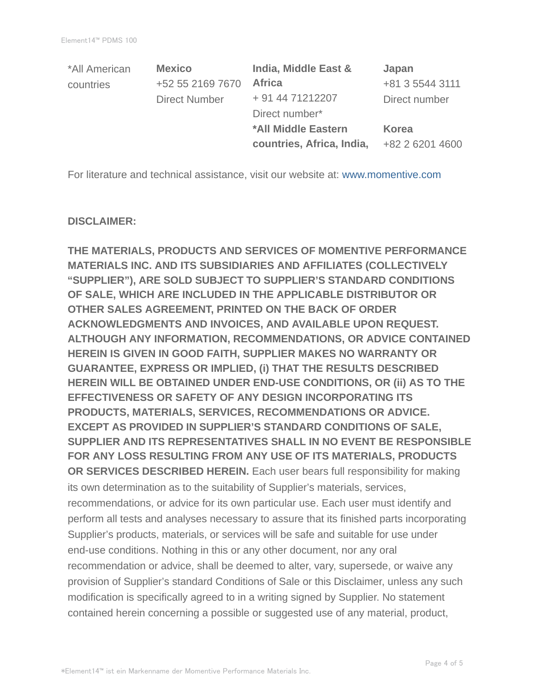| *All American | <b>Mexico</b>        | India, Middle East &      | Japan           |  |
|---------------|----------------------|---------------------------|-----------------|--|
| countries     | +52 55 2169 7670     | <b>Africa</b>             | +81 3 5544 3111 |  |
|               | <b>Direct Number</b> | + 91 44 71212207          | Direct number   |  |
|               |                      | Direct number*            |                 |  |
|               |                      | *All Middle Eastern       | Korea           |  |
|               |                      | countries, Africa, India, | +82 2 6201 4600 |  |

For literature and technical assistance, visit our website at: www.momentive.com

#### **DISCLAIMER:**

**THE MATERIALS, PRODUCTS AND SERVICES OF MOMENTIVE PERFORMANCE MATERIALS INC. AND ITS SUBSIDIARIES AND AFFILIATES (COLLECTIVELY "SUPPLIER"), ARE SOLD SUBJECT TO SUPPLIER'S STANDARD CONDITIONS OF SALE, WHICH ARE INCLUDED IN THE APPLICABLE DISTRIBUTOR OR OTHER SALES AGREEMENT, PRINTED ON THE BACK OF ORDER ACKNOWLEDGMENTS AND INVOICES, AND AVAILABLE UPON REQUEST. ALTHOUGH ANY INFORMATION, RECOMMENDATIONS, OR ADVICE CONTAINED HEREIN IS GIVEN IN GOOD FAITH, SUPPLIER MAKES NO WARRANTY OR GUARANTEE, EXPRESS OR IMPLIED, (i) THAT THE RESULTS DESCRIBED HEREIN WILL BE OBTAINED UNDER END-USE CONDITIONS, OR (ii) AS TO THE EFFECTIVENESS OR SAFETY OF ANY DESIGN INCORPORATING ITS PRODUCTS, MATERIALS, SERVICES, RECOMMENDATIONS OR ADVICE. EXCEPT AS PROVIDED IN SUPPLIER'S STANDARD CONDITIONS OF SALE, SUPPLIER AND ITS REPRESENTATIVES SHALL IN NO EVENT BE RESPONSIBLE FOR ANY LOSS RESULTING FROM ANY USE OF ITS MATERIALS, PRODUCTS OR SERVICES DESCRIBED HEREIN.** Each user bears full responsibility for making its own determination as to the suitability of Supplier's materials, services, recommendations, or advice for its own particular use. Each user must identify and perform all tests and analyses necessary to assure that its finished parts incorporating Supplier's products, materials, or services will be safe and suitable for use under end-use conditions. Nothing in this or any other document, nor any oral recommendation or advice, shall be deemed to alter, vary, supersede, or waive any provision of Supplier's standard Conditions of Sale or this Disclaimer, unless any such modification is specifically agreed to in a writing signed by Supplier. No statement contained herein concerning a possible or suggested use of any material, product,